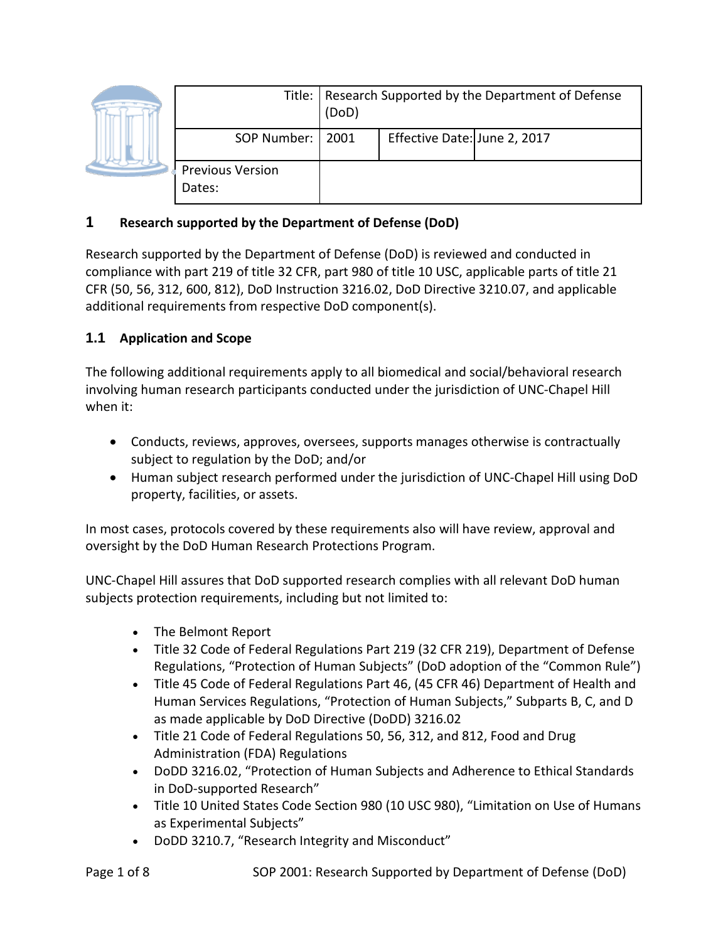|  |                                   | Title:   Research Supported by the Department of Defense<br>(DoD) |                              |  |
|--|-----------------------------------|-------------------------------------------------------------------|------------------------------|--|
|  | SOP Number:   2001                |                                                                   | Effective Date: June 2, 2017 |  |
|  | <b>Previous Version</b><br>Dates: |                                                                   |                              |  |

## **1 Research supported by the Department of Defense (DoD)**

Research supported by the Department of Defense (DoD) is reviewed and conducted in compliance with part 219 of title 32 CFR, part 980 of title 10 USC, applicable parts of title 21 CFR (50, 56, 312, 600, 812), DoD Instruction 3216.02, DoD Directive 3210.07, and applicable additional requirements from respective DoD component(s).

### **1.1 Application and Scope**

The following additional requirements apply to all biomedical and social/behavioral research involving human research participants conducted under the jurisdiction of UNC-Chapel Hill when it:

- Conducts, reviews, approves, oversees, supports manages otherwise is contractually subject to regulation by the DoD; and/or
- Human subject research performed under the jurisdiction of UNC-Chapel Hill using DoD property, facilities, or assets.

In most cases, protocols covered by these requirements also will have review, approval and oversight by the DoD Human Research Protections Program.

UNC-Chapel Hill assures that DoD supported research complies with all relevant DoD human subjects protection requirements, including but not limited to:

- The Belmont Report
- Title 32 Code of Federal Regulations Part 219 (32 CFR 219), Department of Defense Regulations, "Protection of Human Subjects" (DoD adoption of the "Common Rule")
- Title 45 Code of Federal Regulations Part 46, (45 CFR 46) Department of Health and Human Services Regulations, "Protection of Human Subjects," Subparts B, C, and D as made applicable by DoD Directive (DoDD) 3216.02
- Title 21 Code of Federal Regulations 50, 56, 312, and 812, Food and Drug Administration (FDA) Regulations
- DoDD 3216.02, "Protection of Human Subjects and Adherence to Ethical Standards in DoD-supported Research"
- Title 10 United States Code Section 980 (10 USC 980), "Limitation on Use of Humans as Experimental Subjects"
- DoDD 3210.7, "Research Integrity and Misconduct"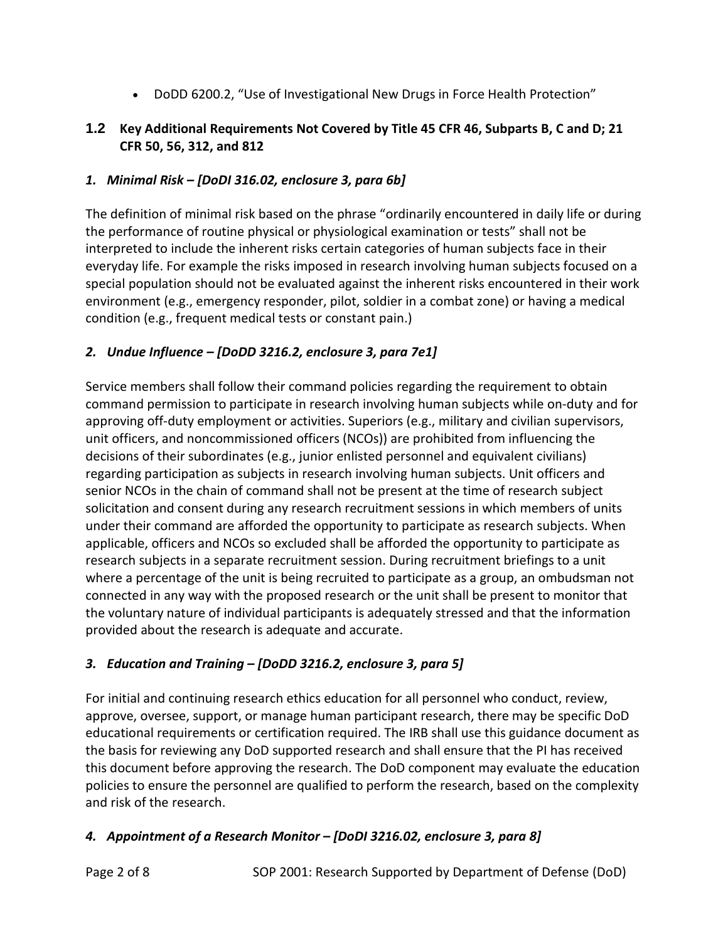• DoDD 6200.2, "Use of Investigational New Drugs in Force Health Protection"

# **1.2 Key Additional Requirements Not Covered by Title 45 CFR 46, Subparts B, C and D; 21 CFR 50, 56, 312, and 812**

## *1. Minimal Risk – [DoDI 316.02, enclosure 3, para 6b]*

The definition of minimal risk based on the phrase "ordinarily encountered in daily life or during the performance of routine physical or physiological examination or tests" shall not be interpreted to include the inherent risks certain categories of human subjects face in their everyday life. For example the risks imposed in research involving human subjects focused on a special population should not be evaluated against the inherent risks encountered in their work environment (e.g., emergency responder, pilot, soldier in a combat zone) or having a medical condition (e.g., frequent medical tests or constant pain.)

## *2. Undue Influence – [DoDD 3216.2, enclosure 3, para 7e1]*

Service members shall follow their command policies regarding the requirement to obtain command permission to participate in research involving human subjects while on-duty and for approving off-duty employment or activities. Superiors (e.g., military and civilian supervisors, unit officers, and noncommissioned officers (NCOs)) are prohibited from influencing the decisions of their subordinates (e.g., junior enlisted personnel and equivalent civilians) regarding participation as subjects in research involving human subjects. Unit officers and senior NCOs in the chain of command shall not be present at the time of research subject solicitation and consent during any research recruitment sessions in which members of units under their command are afforded the opportunity to participate as research subjects. When applicable, officers and NCOs so excluded shall be afforded the opportunity to participate as research subjects in a separate recruitment session. During recruitment briefings to a unit where a percentage of the unit is being recruited to participate as a group, an ombudsman not connected in any way with the proposed research or the unit shall be present to monitor that the voluntary nature of individual participants is adequately stressed and that the information provided about the research is adequate and accurate.

# *3. Education and Training – [DoDD 3216.2, enclosure 3, para 5]*

For initial and continuing research ethics education for all personnel who conduct, review, approve, oversee, support, or manage human participant research, there may be specific DoD educational requirements or certification required. The IRB shall use this guidance document as the basis for reviewing any DoD supported research and shall ensure that the PI has received this document before approving the research. The DoD component may evaluate the education policies to ensure the personnel are qualified to perform the research, based on the complexity and risk of the research.

# *4. Appointment of a Research Monitor – [DoDI 3216.02, enclosure 3, para 8]*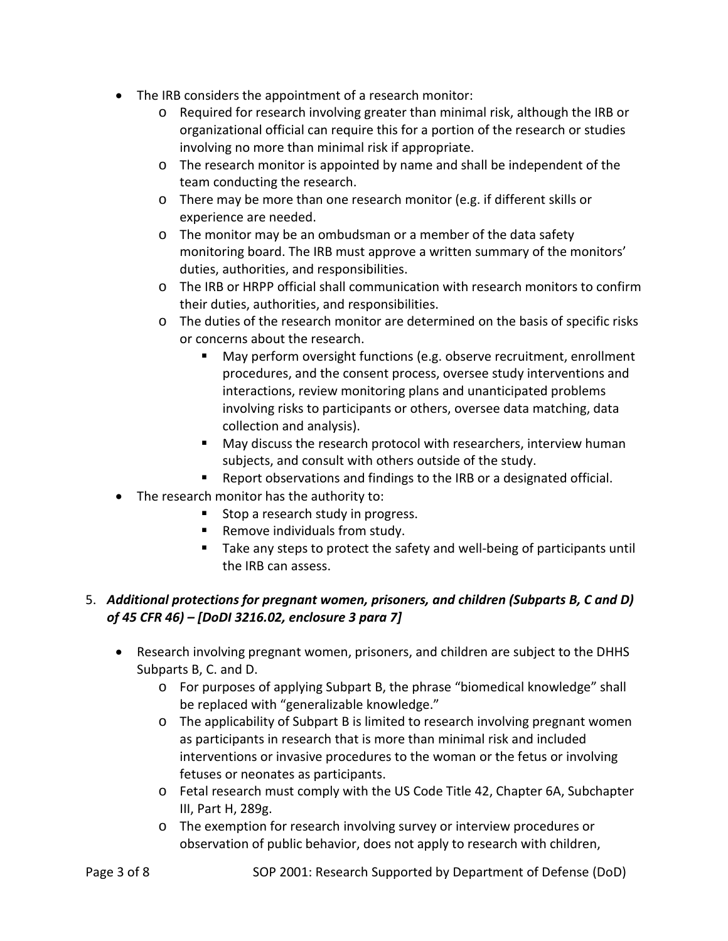- The IRB considers the appointment of a research monitor:
	- o Required for research involving greater than minimal risk, although the IRB or organizational official can require this for a portion of the research or studies involving no more than minimal risk if appropriate.
	- o The research monitor is appointed by name and shall be independent of the team conducting the research.
	- o There may be more than one research monitor (e.g. if different skills or experience are needed.
	- o The monitor may be an ombudsman or a member of the data safety monitoring board. The IRB must approve a written summary of the monitors' duties, authorities, and responsibilities.
	- o The IRB or HRPP official shall communication with research monitors to confirm their duties, authorities, and responsibilities.
	- o The duties of the research monitor are determined on the basis of specific risks or concerns about the research.
		- May perform oversight functions (e.g. observe recruitment, enrollment procedures, and the consent process, oversee study interventions and interactions, review monitoring plans and unanticipated problems involving risks to participants or others, oversee data matching, data collection and analysis).
		- **May discuss the research protocol with researchers, interview human** subjects, and consult with others outside of the study.
		- Report observations and findings to the IRB or a designated official.
- The research monitor has the authority to:
	- **Stop a research study in progress.**
	- Remove individuals from study.
	- Take any steps to protect the safety and well-being of participants until the IRB can assess.

## 5. *Additional protections for pregnant women, prisoners, and children (Subparts B, C and D) of 45 CFR 46) – [DoDI 3216.02, enclosure 3 para 7]*

- Research involving pregnant women, prisoners, and children are subject to the DHHS Subparts B, C. and D.
	- o For purposes of applying Subpart B, the phrase "biomedical knowledge" shall be replaced with "generalizable knowledge."
	- o The applicability of Subpart B is limited to research involving pregnant women as participants in research that is more than minimal risk and included interventions or invasive procedures to the woman or the fetus or involving fetuses or neonates as participants.
	- o Fetal research must comply with the US Code Title 42, Chapter 6A, Subchapter III, Part H, 289g.
	- o The exemption for research involving survey or interview procedures or observation of public behavior, does not apply to research with children,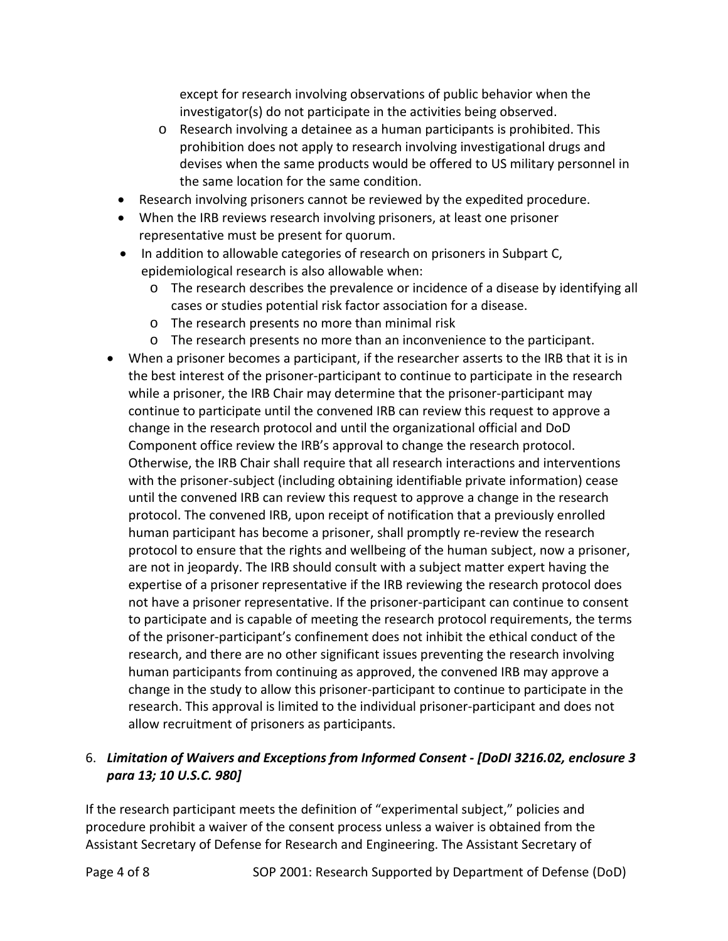except for research involving observations of public behavior when the investigator(s) do not participate in the activities being observed.

- o Research involving a detainee as a human participants is prohibited. This prohibition does not apply to research involving investigational drugs and devises when the same products would be offered to US military personnel in the same location for the same condition.
- Research involving prisoners cannot be reviewed by the expedited procedure.
- When the IRB reviews research involving prisoners, at least one prisoner representative must be present for quorum.
- In addition to allowable categories of research on prisoners in Subpart C, epidemiological research is also allowable when:
	- o The research describes the prevalence or incidence of a disease by identifying all cases or studies potential risk factor association for a disease.
	- o The research presents no more than minimal risk
	- o The research presents no more than an inconvenience to the participant.
- When a prisoner becomes a participant, if the researcher asserts to the IRB that it is in the best interest of the prisoner-participant to continue to participate in the research while a prisoner, the IRB Chair may determine that the prisoner-participant may continue to participate until the convened IRB can review this request to approve a change in the research protocol and until the organizational official and DoD Component office review the IRB's approval to change the research protocol. Otherwise, the IRB Chair shall require that all research interactions and interventions with the prisoner-subject (including obtaining identifiable private information) cease until the convened IRB can review this request to approve a change in the research protocol. The convened IRB, upon receipt of notification that a previously enrolled human participant has become a prisoner, shall promptly re-review the research protocol to ensure that the rights and wellbeing of the human subject, now a prisoner, are not in jeopardy. The IRB should consult with a subject matter expert having the expertise of a prisoner representative if the IRB reviewing the research protocol does not have a prisoner representative. If the prisoner-participant can continue to consent to participate and is capable of meeting the research protocol requirements, the terms of the prisoner-participant's confinement does not inhibit the ethical conduct of the research, and there are no other significant issues preventing the research involving human participants from continuing as approved, the convened IRB may approve a change in the study to allow this prisoner-participant to continue to participate in the research. This approval is limited to the individual prisoner-participant and does not allow recruitment of prisoners as participants.

### 6. *Limitation of Waivers and Exceptions from Informed Consent - [DoDI 3216.02, enclosure 3 para 13; 10 U.S.C. 980]*

If the research participant meets the definition of "experimental subject," policies and procedure prohibit a waiver of the consent process unless a waiver is obtained from the Assistant Secretary of Defense for Research and Engineering. The Assistant Secretary of

Page 4 of 8 SOP 2001: Research Supported by Department of Defense (DoD)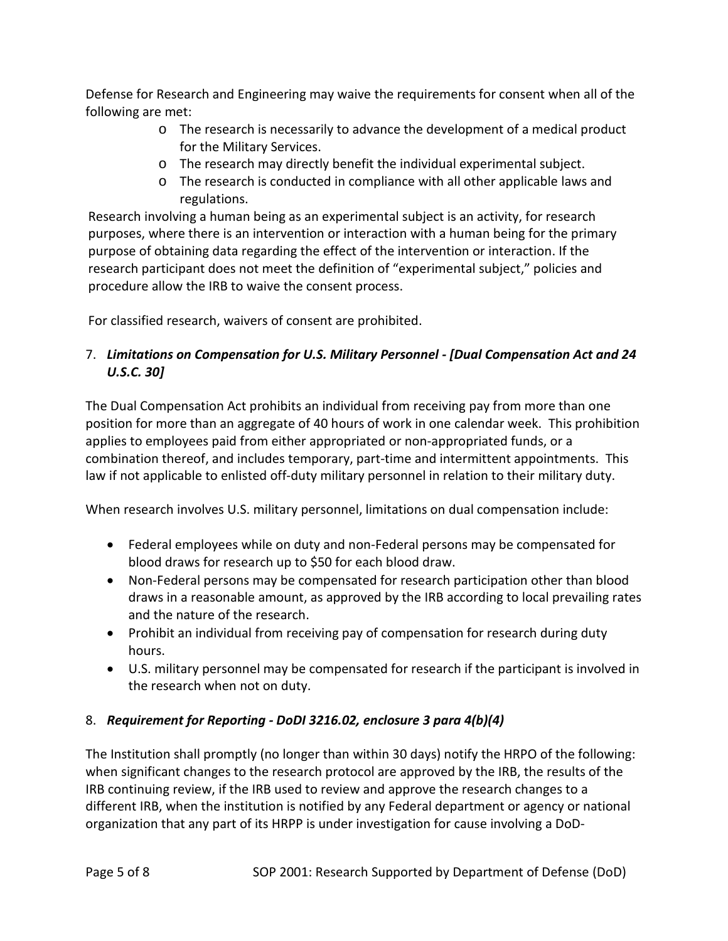Defense for Research and Engineering may waive the requirements for consent when all of the following are met:

- o The research is necessarily to advance the development of a medical product for the Military Services.
- o The research may directly benefit the individual experimental subject.
- o The research is conducted in compliance with all other applicable laws and regulations.

Research involving a human being as an experimental subject is an activity, for research purposes, where there is an intervention or interaction with a human being for the primary purpose of obtaining data regarding the effect of the intervention or interaction. If the research participant does not meet the definition of "experimental subject," policies and procedure allow the IRB to waive the consent process.

For classified research, waivers of consent are prohibited.

# 7. *Limitations on Compensation for U.S. Military Personnel - [Dual Compensation Act and 24 U.S.C. 30]*

The Dual Compensation Act prohibits an individual from receiving pay from more than one position for more than an aggregate of 40 hours of work in one calendar week. This prohibition applies to employees paid from either appropriated or non-appropriated funds, or a combination thereof, and includes temporary, part-time and intermittent appointments. This law if not applicable to enlisted off-duty military personnel in relation to their military duty.

When research involves U.S. military personnel, limitations on dual compensation include:

- Federal employees while on duty and non-Federal persons may be compensated for blood draws for research up to \$50 for each blood draw.
- Non-Federal persons may be compensated for research participation other than blood draws in a reasonable amount, as approved by the IRB according to local prevailing rates and the nature of the research.
- Prohibit an individual from receiving pay of compensation for research during duty hours.
- U.S. military personnel may be compensated for research if the participant is involved in the research when not on duty.

# 8. *Requirement for Reporting - DoDI 3216.02, enclosure 3 para 4(b)(4)*

The Institution shall promptly (no longer than within 30 days) notify the HRPO of the following: when significant changes to the research protocol are approved by the IRB, the results of the IRB continuing review, if the IRB used to review and approve the research changes to a different IRB, when the institution is notified by any Federal department or agency or national organization that any part of its HRPP is under investigation for cause involving a DoD-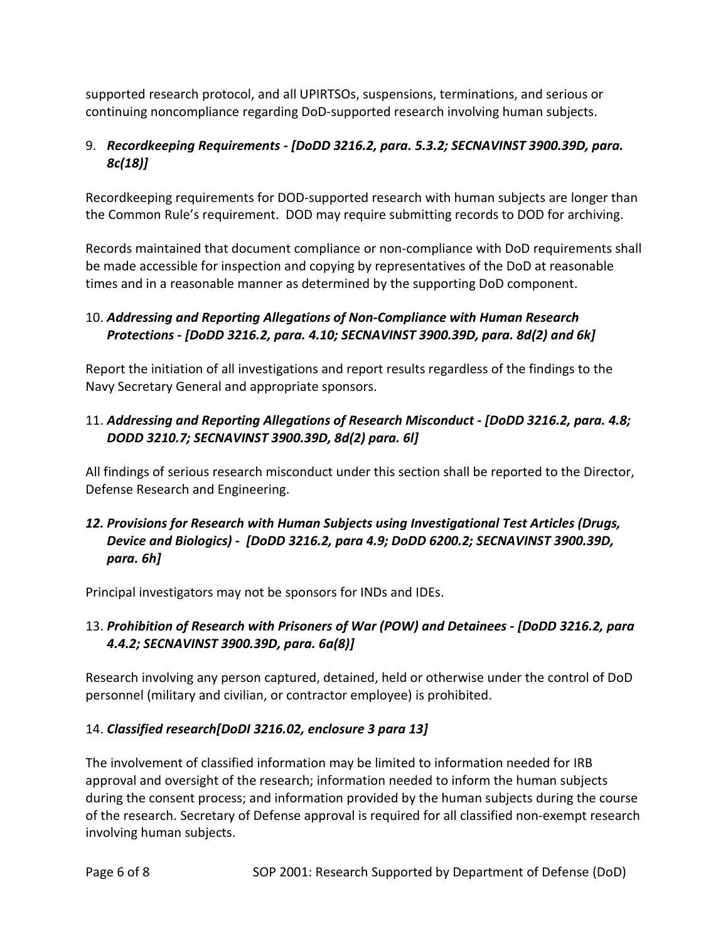supported research protocol, and all UPIRTSOs, suspensions, terminations, and serious or continuing noncompliance regarding DoD-supported research involving human subjects.

## 9. *Recordkeeping Requirements - [DoDD 3216.2, para. 5.3.2; SECNAVINST 3900.39D, para. 8c(18)]*

Recordkeeping requirements for DOD-supported research with human subjects are longer than the Common Rule's requirement. DOD may require submitting records to DOD for archiving.

Records maintained that document compliance or non-compliance with DoD requirements shall be made accessible for inspection and copying by representatives of the DoD at reasonable times and in a reasonable manner as determined by the supporting DoD component.

### 10. *Addressing and Reporting Allegations of Non-Compliance with Human Research Protections - [DoDD 3216.2, para. 4.10; SECNAVINST 3900.39D, para. 8d(2) and 6k]*

Report the initiation of all investigations and report results regardless of the findings to the Navy Secretary General and appropriate sponsors.

## 11. *Addressing and Reporting Allegations of Research Misconduct - [DoDD 3216.2, para. 4.8; DODD 3210.7; SECNAVINST 3900.39D, 8d(2) para. 6l]*

All findings of serious research misconduct under this section shall be reported to the Director, Defense Research and Engineering.

### *12. Provisions for Research with Human Subjects using Investigational Test Articles (Drugs, Device and Biologics) - [DoDD 3216.2, para 4.9; DoDD 6200.2; SECNAVINST 3900.39D, para. 6h]*

Principal investigators may not be sponsors for INDs and IDEs.

## 13. *Prohibition of Research with Prisoners of War (POW) and Detainees - [DoDD 3216.2, para 4.4.2; SECNAVINST 3900.39D, para. 6a(8)]*

Research involving any person captured, detained, held or otherwise under the control of DoD personnel (military and civilian, or contractor employee) is prohibited.

# 14. *Classified research[DoDI 3216.02, enclosure 3 para 13]*

The involvement of classified information may be limited to information needed for IRB approval and oversight of the research; information needed to inform the human subjects during the consent process; and information provided by the human subjects during the course of the research. Secretary of Defense approval is required for all classified non-exempt research involving human subjects.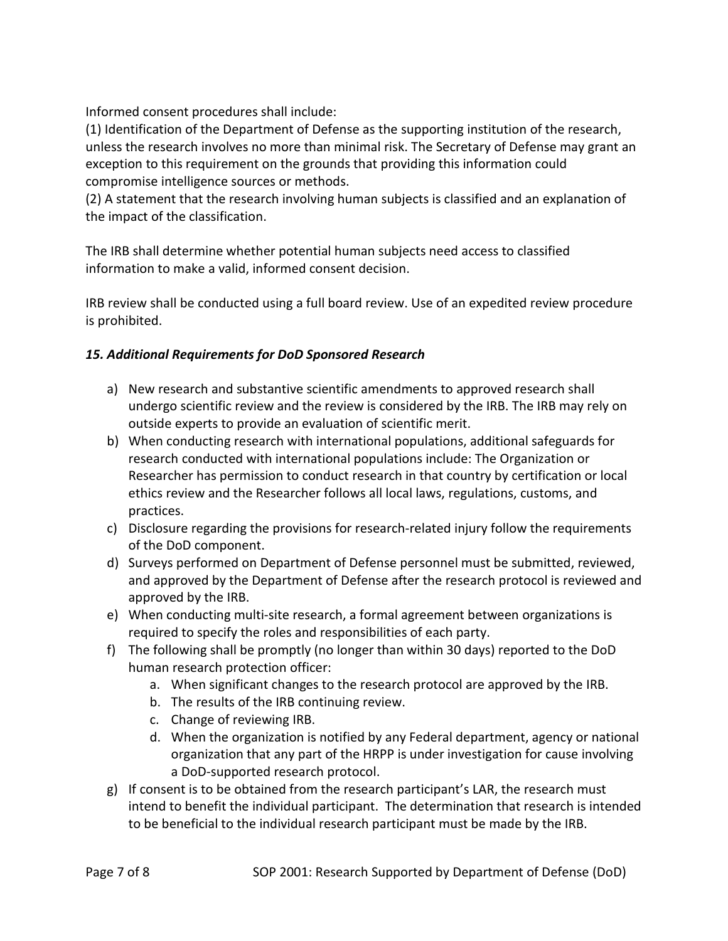Informed consent procedures shall include:

(1) Identification of the Department of Defense as the supporting institution of the research, unless the research involves no more than minimal risk. The Secretary of Defense may grant an exception to this requirement on the grounds that providing this information could compromise intelligence sources or methods.

(2) A statement that the research involving human subjects is classified and an explanation of the impact of the classification.

The IRB shall determine whether potential human subjects need access to classified information to make a valid, informed consent decision.

IRB review shall be conducted using a full board review. Use of an expedited review procedure is prohibited.

### *15. Additional Requirements for DoD Sponsored Research*

- a) New research and substantive scientific amendments to approved research shall undergo scientific review and the review is considered by the IRB. The IRB may rely on outside experts to provide an evaluation of scientific merit.
- b) When conducting research with international populations, additional safeguards for research conducted with international populations include: The Organization or Researcher has permission to conduct research in that country by certification or local ethics review and the Researcher follows all local laws, regulations, customs, and practices.
- c) Disclosure regarding the provisions for research-related injury follow the requirements of the DoD component.
- d) Surveys performed on Department of Defense personnel must be submitted, reviewed, and approved by the Department of Defense after the research protocol is reviewed and approved by the IRB.
- e) When conducting multi-site research, a formal agreement between organizations is required to specify the roles and responsibilities of each party.
- f) The following shall be promptly (no longer than within 30 days) reported to the DoD human research protection officer:
	- a. When significant changes to the research protocol are approved by the IRB.
	- b. The results of the IRB continuing review.
	- c. Change of reviewing IRB.
	- d. When the organization is notified by any Federal department, agency or national organization that any part of the HRPP is under investigation for cause involving a DoD-supported research protocol.
- g) If consent is to be obtained from the research participant's LAR, the research must intend to benefit the individual participant. The determination that research is intended to be beneficial to the individual research participant must be made by the IRB.